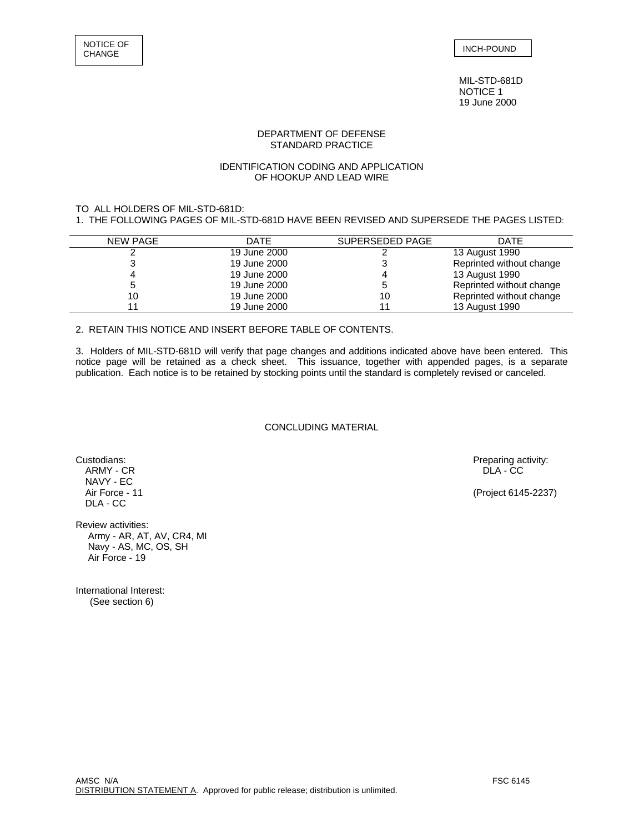MIL-STD-681D NOTICE 1 19 June 2000

## DEPARTMENT OF DEFENSE STANDARD PRACTICE

## IDENTIFICATION CODING AND APPLICATION OF HOOKUP AND LEAD WIRE

# TO ALL HOLDERS OF MIL-STD-681D:

1. THE FOLLOWING PAGES OF MIL-STD-681D HAVE BEEN REVISED AND SUPERSEDE THE PAGES LISTED:

| <b>NEW PAGE</b> | <b>DATE</b>  | SUPERSEDED PAGE | <b>DATE</b>              |
|-----------------|--------------|-----------------|--------------------------|
|                 | 19 June 2000 |                 | 13 August 1990           |
|                 | 19 June 2000 |                 | Reprinted without change |
|                 | 19 June 2000 |                 | 13 August 1990           |
|                 | 19 June 2000 |                 | Reprinted without change |
| 10              | 19 June 2000 | 10              | Reprinted without change |
|                 | 19 June 2000 |                 | 13 August 1990           |
|                 |              |                 |                          |

2. RETAIN THIS NOTICE AND INSERT BEFORE TABLE OF CONTENTS.

3. Holders of MIL-STD-681D will verify that page changes and additions indicated above have been entered. This notice page will be retained as a check sheet. This issuance, together with appended pages, is a separate publication. Each notice is to be retained by stocking points until the standard is completely revised or canceled.

### CONCLUDING MATERIAL

ARMY - CR DLA - CC DRAMINIC DESCRIPTION OF THE CONTROL OF THE CONTROL OF THE CONTROL OF THE CONTROL OF THE CONTROL OF THE CONTROL OF THE CONTROL OF THE CONTROL OF THE CONTROL OF THE CONTROL OF THE CONTROL OF THE CONTROL OF NAVY - EC<br>Air Force - 11 DLA - CC

Review activities: Army - AR, AT, AV, CR4, MI Navy - AS, MC, OS, SH Air Force - 19

International Interest: (See section 6)

Custodians: Preparing activity: Preparing activity: Preparing activity: Preparing activity: Preparing activity: PLA - CC PLA - CC PLA - CC PLA - CC PLA - CC PLA - CC PLA - CC PLA - CC PLA - CC PLA - CC PLA - CC PLA - CC PL

(Project 6145-2237)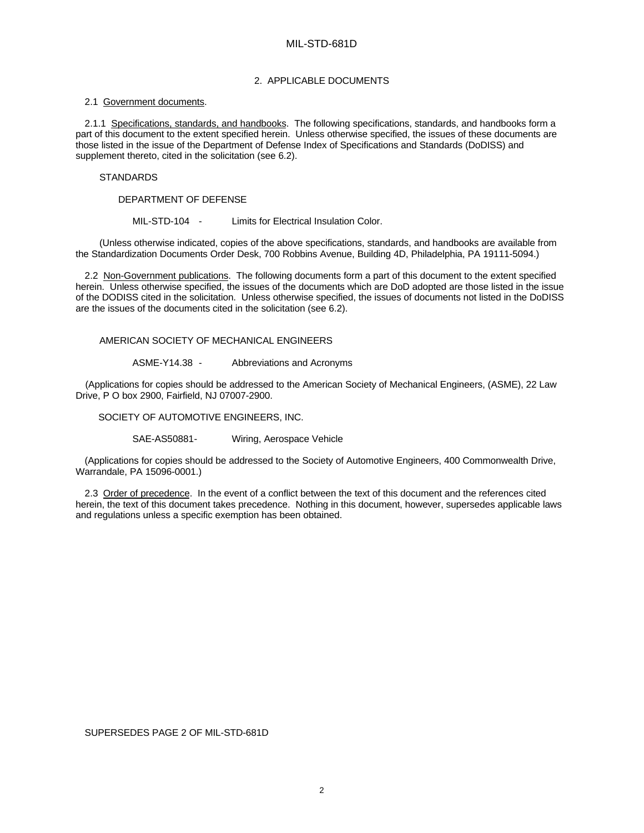## 2. APPLICABLE DOCUMENTS

### 2.1 Government documents.

2.1.1 Specifications, standards, and handbooks. The following specifications, standards, and handbooks form a part of this document to the extent specified herein. Unless otherwise specified, the issues of these documents are those listed in the issue of the Department of Defense Index of Specifications and Standards (DoDISS) and supplement thereto, cited in the solicitation (see 6.2).

### **STANDARDS**

DEPARTMENT OF DEFENSE

MIL-STD-104 - Limits for Electrical Insulation Color.

(Unless otherwise indicated, copies of the above specifications, standards, and handbooks are available from the Standardization Documents Order Desk, 700 Robbins Avenue, Building 4D, Philadelphia, PA 19111-5094.)

2.2 Non-Government publications. The following documents form a part of this document to the extent specified herein. Unless otherwise specified, the issues of the documents which are DoD adopted are those listed in the issue of the DODISS cited in the solicitation. Unless otherwise specified, the issues of documents not listed in the DoDISS are the issues of the documents cited in the solicitation (see 6.2).

### AMERICAN SOCIETY OF MECHANICAL ENGINEERS

ASME-Y14.38 - Abbreviations and Acronyms

(Applications for copies should be addressed to the American Society of Mechanical Engineers, (ASME), 22 Law Drive, P O box 2900, Fairfield, NJ 07007-2900.

SOCIETY OF AUTOMOTIVE ENGINEERS, INC.

SAE-AS50881- Wiring, Aerospace Vehicle

(Applications for copies should be addressed to the Society of Automotive Engineers, 400 Commonwealth Drive, Warrandale, PA 15096-0001.)

2.3 Order of precedence. In the event of a conflict between the text of this document and the references cited herein, the text of this document takes precedence. Nothing in this document, however, supersedes applicable laws and regulations unless a specific exemption has been obtained.

SUPERSEDES PAGE 2 OF MIL-STD-681D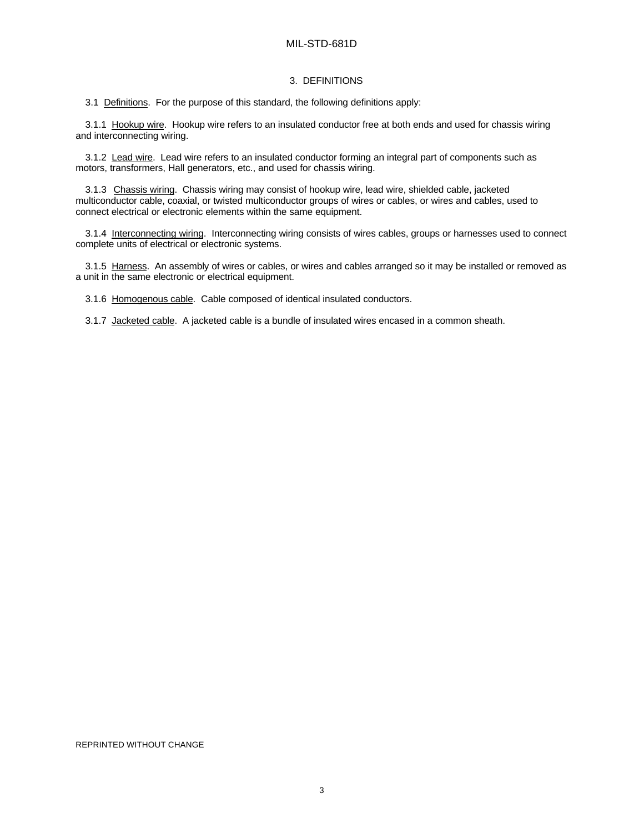## MIL-STD-681D

### 3. DEFINITIONS

3.1 Definitions. For the purpose of this standard, the following definitions apply:

3.1.1 Hookup wire. Hookup wire refers to an insulated conductor free at both ends and used for chassis wiring and interconnecting wiring.

3.1.2 Lead wire. Lead wire refers to an insulated conductor forming an integral part of components such as motors, transformers, Hall generators, etc., and used for chassis wiring.

3.1.3 Chassis wiring. Chassis wiring may consist of hookup wire, lead wire, shielded cable, jacketed multiconductor cable, coaxial, or twisted multiconductor groups of wires or cables, or wires and cables, used to connect electrical or electronic elements within the same equipment.

3.1.4 Interconnecting wiring. Interconnecting wiring consists of wires cables, groups or harnesses used to connect complete units of electrical or electronic systems.

3.1.5 Harness. An assembly of wires or cables, or wires and cables arranged so it may be installed or removed as a unit in the same electronic or electrical equipment.

3.1.6 Homogenous cable. Cable composed of identical insulated conductors.

3.1.7 Jacketed cable. A jacketed cable is a bundle of insulated wires encased in a common sheath.

#### REPRINTED WITHOUT CHANGE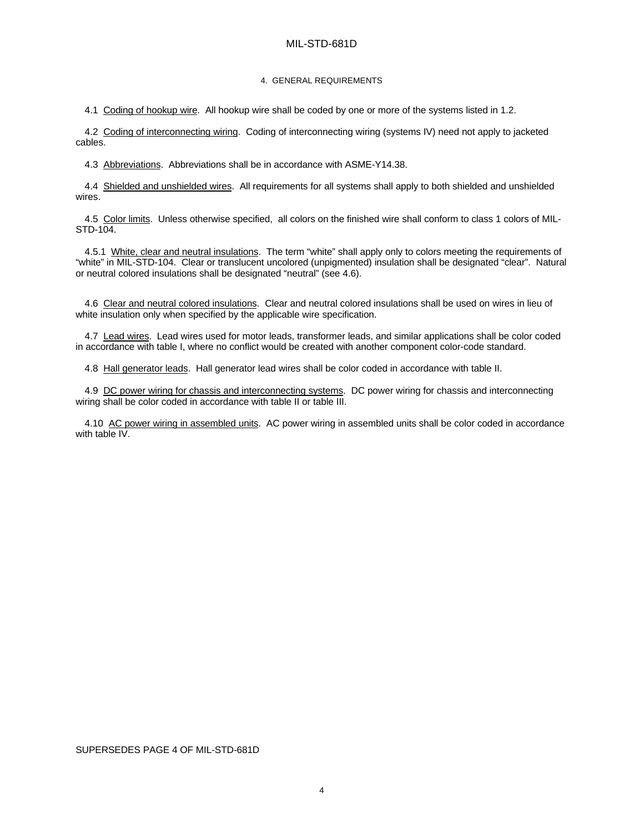## MIL-STD-681D

#### 4. GENERAL REQUIREMENTS

4.1 Coding of hookup wire. All hookup wire shall be coded by one or more of the systems listed in 1.2.

4.2 Coding of interconnecting wiring. Coding of interconnecting wiring (systems IV) need not apply to jacketed cables.

4.3 Abbreviations. Abbreviations shall be in accordance with ASME-Y14.38.

4.4 Shielded and unshielded wires. All requirements for all systems shall apply to both shielded and unshielded wires.

4.5 Color limits. Unless otherwise specified, all colors on the finished wire shall conform to class 1 colors of MIL-STD-104.

4.5.1 White, clear and neutral insulations. The term "white" shall apply only to colors meeting the requirements of "white" in MIL-STD-104. Clear or translucent uncolored (unpigmented) insulation shall be designated "clear". Natural or neutral colored insulations shall be designated "neutral" (see 4.6).

4.6 Clear and neutral colored insulations. Clear and neutral colored insulations shall be used on wires in lieu of white insulation only when specified by the applicable wire specification.

4.7 Lead wires. Lead wires used for motor leads, transformer leads, and similar applications shall be color coded in accordance with table I, where no conflict would be created with another component color-code standard.

4.8 Hall generator leads. Hall generator lead wires shall be color coded in accordance with table II.

4.9 DC power wiring for chassis and interconnecting systems. DC power wiring for chassis and interconnecting wiring shall be color coded in accordance with table II or table III.

4.10 AC power wiring in assembled units. AC power wiring in assembled units shall be color coded in accordance with table IV.

### SUPERSEDES PAGE 4 OF MIL-STD-681D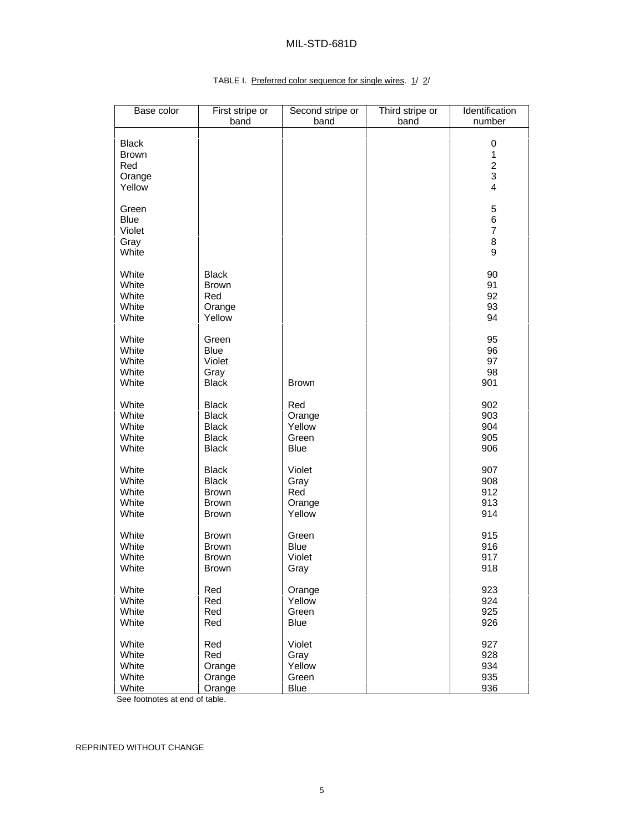# MIL-STD-681D

## Base color First stripe or band Second stripe or band Third stripe or band **Identification** number Black | | | | 0 Brown 1 Red 2 Orange | | | | | | | | | | | | 3 Yellow 4 Green | | | | | | | | | | | 5 Blue 6 Violet 7 Gray | | | | 8 White I american property of the Microsoft Contract of the Microsoft Contract of the Microsoft Contract of the White Black 90 White Brown 91 White Red 92 White  $\vert$  Orange  $\vert$  , and  $\vert$  93 White Yellow 94 White | Green | | | 95 White Blue 96 White Violet 97 White | Gray | | | 98 White Black Brown 901 White Black Red 902 White Black Orange 903 White Black Yellow 904 White Black Green 905 White Black Blue 906 White Black Violet 907 White Black Gray 908 White Brown Red 912 White Brown Orange 913 White Brown Yellow 914 White Brown Green 915 White Brown Blue 916 White Brown Violet 917 White Brown Gray 918 White Red (Orange ) 923 White Red Yellow 924 White Red Green 925 White Red Blue 926 White Red Violet 927 White Red Gray 928 White Orange Yellow 934 White Orange Green 935

# TABLE I. Preferred color sequence for single wires. 1/ 2/

See footnotes at end of table.

REPRINTED WITHOUT CHANGE

White Orange Blue 936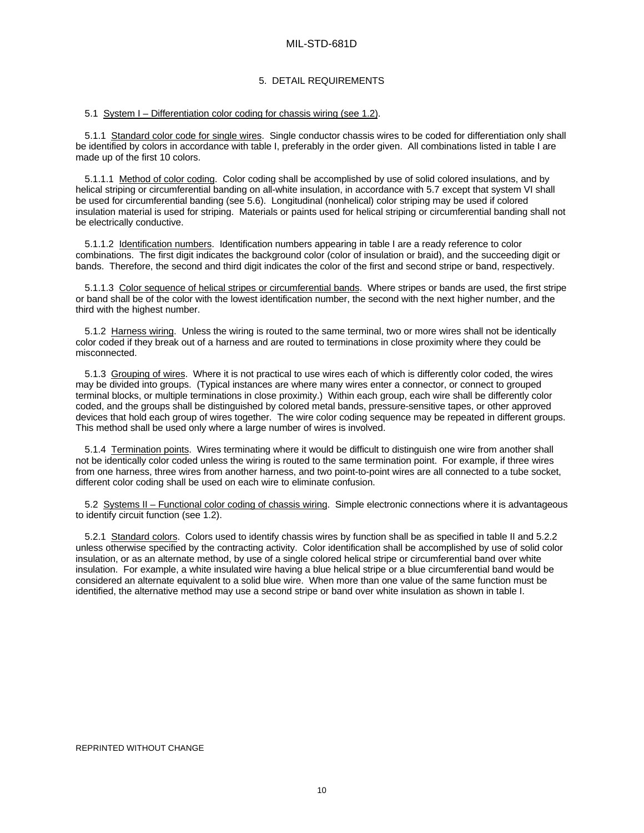### 5. DETAIL REQUIREMENTS

### 5.1 System I – Differentiation color coding for chassis wiring (see 1.2).

5.1.1 Standard color code for single wires. Single conductor chassis wires to be coded for differentiation only shall be identified by colors in accordance with table I, preferably in the order given. All combinations listed in table I are made up of the first 10 colors.

5.1.1.1 Method of color coding. Color coding shall be accomplished by use of solid colored insulations, and by helical striping or circumferential banding on all-white insulation, in accordance with 5.7 except that system VI shall be used for circumferential banding (see 5.6). Longitudinal (nonhelical) color striping may be used if colored insulation material is used for striping. Materials or paints used for helical striping or circumferential banding shall not be electrically conductive.

5.1.1.2 Identification numbers. Identification numbers appearing in table I are a ready reference to color combinations. The first digit indicates the background color (color of insulation or braid), and the succeeding digit or bands. Therefore, the second and third digit indicates the color of the first and second stripe or band, respectively.

5.1.1.3 Color sequence of helical stripes or circumferential bands. Where stripes or bands are used, the first stripe or band shall be of the color with the lowest identification number, the second with the next higher number, and the third with the highest number.

5.1.2 Harness wiring. Unless the wiring is routed to the same terminal, two or more wires shall not be identically color coded if they break out of a harness and are routed to terminations in close proximity where they could be misconnected.

5.1.3 Grouping of wires. Where it is not practical to use wires each of which is differently color coded, the wires may be divided into groups. (Typical instances are where many wires enter a connector, or connect to grouped terminal blocks, or multiple terminations in close proximity.) Within each group, each wire shall be differently color coded, and the groups shall be distinguished by colored metal bands, pressure-sensitive tapes, or other approved devices that hold each group of wires together. The wire color coding sequence may be repeated in different groups. This method shall be used only where a large number of wires is involved.

5.1.4 Termination points. Wires terminating where it would be difficult to distinguish one wire from another shall not be identically color coded unless the wiring is routed to the same termination point. For example, if three wires from one harness, three wires from another harness, and two point-to-point wires are all connected to a tube socket, different color coding shall be used on each wire to eliminate confusion.

5.2 Systems II – Functional color coding of chassis wiring. Simple electronic connections where it is advantageous to identify circuit function (see 1.2).

5.2.1 Standard colors. Colors used to identify chassis wires by function shall be as specified in table II and 5.2.2 unless otherwise specified by the contracting activity. Color identification shall be accomplished by use of solid color insulation, or as an alternate method, by use of a single colored helical stripe or circumferential band over white insulation. For example, a white insulated wire having a blue helical stripe or a blue circumferential band would be considered an alternate equivalent to a solid blue wire. When more than one value of the same function must be identified, the alternative method may use a second stripe or band over white insulation as shown in table I.